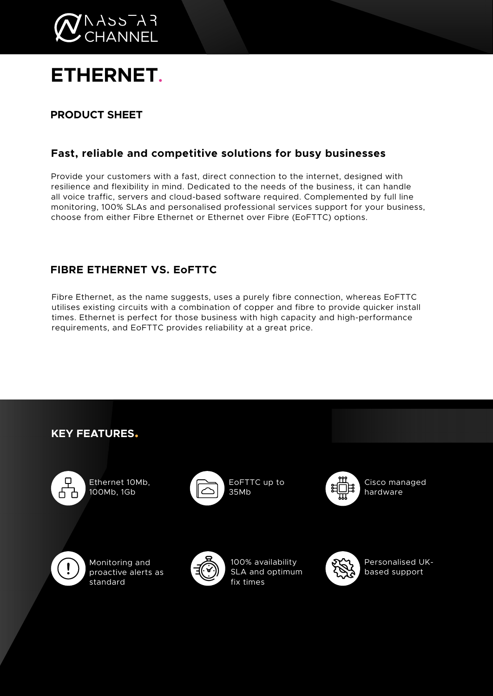

# **ETHERNET.**

# **PRODUCT SHEET**

## **Fast, reliable and competitive solutions for busy businesses**

Provide your customers with a fast, direct connection to the internet, designed with resilience and flexibility in mind. Dedicated to the needs of the business, it can handle all voice traffic, servers and cloud-based software required. Complemented by full line monitoring, 100% SLAs and personalised professional services support for your business, choose from either Fibre Ethernet or Ethernet over Fibre (EoFTTC) options.

## **FIBRE ETHERNET VS. EoFTTC**

Fibre Ethernet, as the name suggests, uses a purely fibre connection, whereas EoFTTC utilises existing circuits with a combination of copper and fibre to provide quicker install times. Ethernet is perfect for those business with high capacity and high-performance requirements, and EoFTTC provides reliability at a great price.

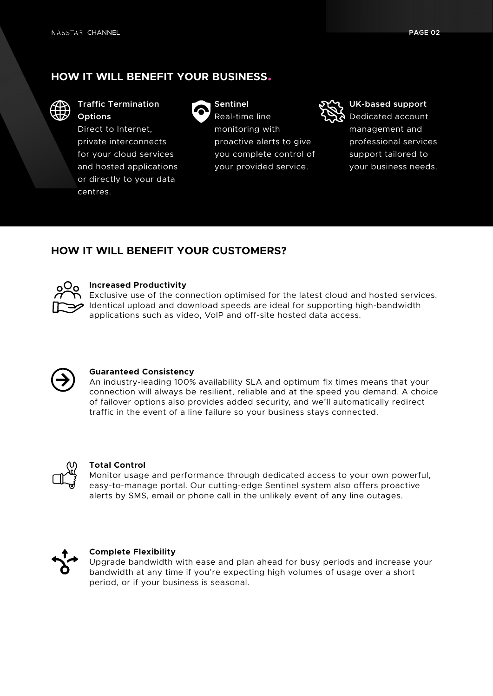## **HOW IT WILL BENEFIT YOUR BUSINESS.**



**Traffic Termination Options** 

Direct to Internet, private interconnects for your cloud services and hosted applications or directly to your data centres.



**Sentinel**  Real-time line monitoring with proactive alerts to give you complete control of your provided service.



**UK-based support**  Dedicated account management and professional services support tailored to your business needs.

### **HOW IT WILL BENEFIT YOUR CUSTOMERS?**



#### **Increased Productivity**

Exclusive use of the connection optimised for the latest cloud and hosted services. Identical upload and download speeds are ideal for supporting high-bandwidth applications such as video, VoIP and off-site hosted data access.



#### **Guaranteed Consistency**

An industry-leading 100% availability SLA and optimum fix times means that your connection will always be resilient, reliable and at the speed you demand. A choice of failover options also provides added security, and we'll automatically redirect traffic in the event of a line failure so your business stays connected.



#### **Total Control**

Monitor usage and performance through dedicated access to your own powerful, easy-to-manage portal. Our cutting-edge Sentinel system also offers proactive alerts by SMS, email or phone call in the unlikely event of any line outages.



#### **Complete Flexibility**

Upgrade bandwidth with ease and plan ahead for busy periods and increase your bandwidth at any time if you're expecting high volumes of usage over a short period, or if your business is seasonal.